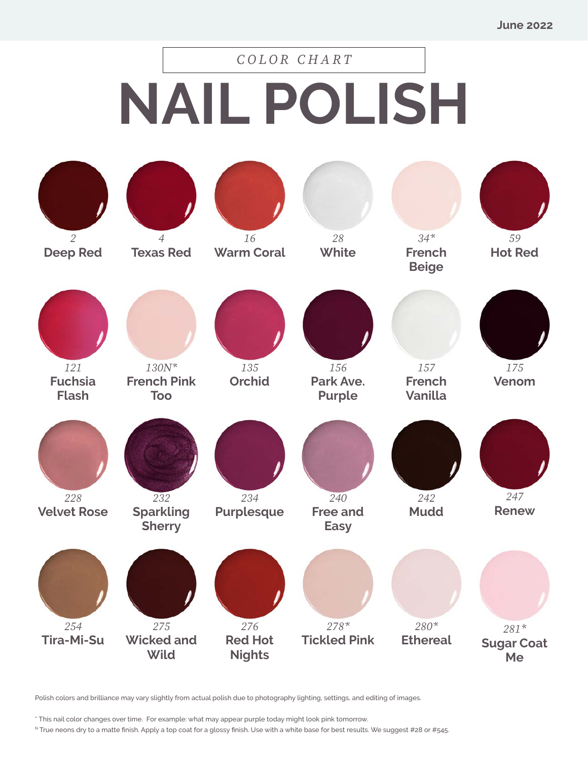## **NAIL POLISH** *COLOR CHART*

| $\overline{2}$<br><b>Deep Red</b>     | $\overline{4}$<br><b>Texas Red</b>                 | 16<br><b>Warm Coral</b>                | 28<br>White                           | $34*$<br><b>French</b><br><b>Beige</b> | 59<br><b>Hot Red</b>              |
|---------------------------------------|----------------------------------------------------|----------------------------------------|---------------------------------------|----------------------------------------|-----------------------------------|
| 121<br><b>Fuchsia</b><br><b>Flash</b> | $130N^{\star}$<br><b>French Pink</b><br><b>Too</b> | 135<br><b>Orchid</b>                   | 156<br>Park Ave.<br><b>Purple</b>     | 157<br><b>French</b><br>Vanilla        | 175<br>Venom                      |
| 228<br><b>Velvet Rose</b>             | 232<br><b>Sparkling</b><br><b>Sherry</b>           | 234<br><b>Purplesque</b>               | 240<br><b>Free and</b><br><b>Easy</b> | 242<br><b>Mudd</b>                     | 247<br><b>Renew</b>               |
| 254<br><b>Tira-Mi-Su</b>              | 275<br><b>Wicked and</b><br><b>Wild</b>            | 276<br><b>Red Hot</b><br><b>Nights</b> | $278*$<br><b>Tickled Pink</b>         | $280*$<br><b>Ethereal</b>              | $281*$<br><b>Sugar Coat</b><br>Me |

Polish colors and brilliance may vary slightly from actual polish due to photography lighting, settings, and editing of images.

\* This nail color changes over time. For example: what may appear purple today might look pink tomorrow.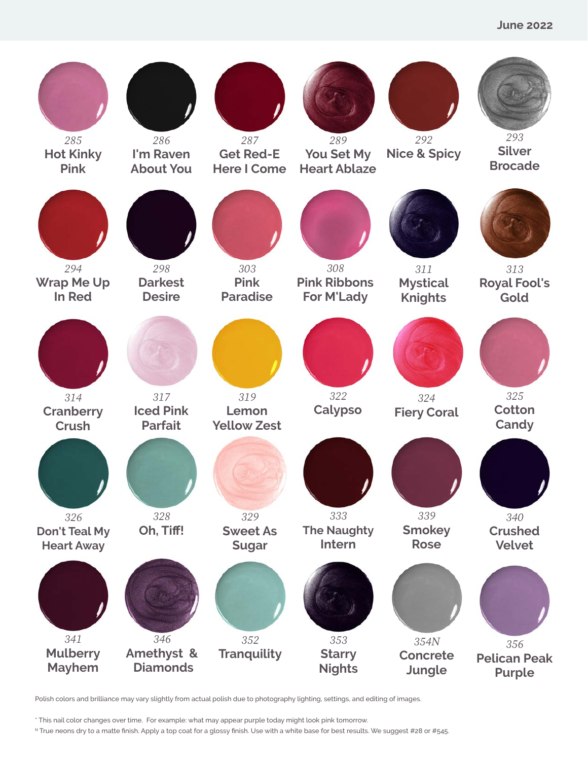

\* This nail color changes over time. For example: what may appear purple today might look pink tomorrow.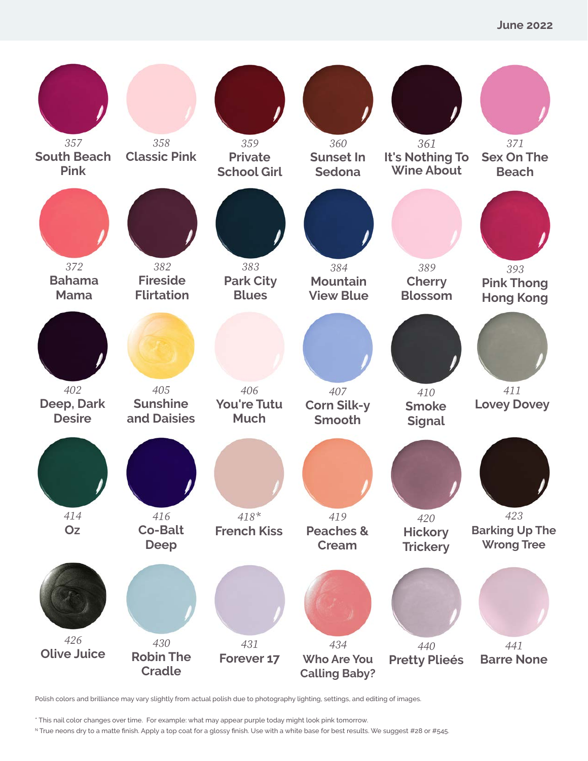

\* This nail color changes over time. For example: what may appear purple today might look pink tomorrow.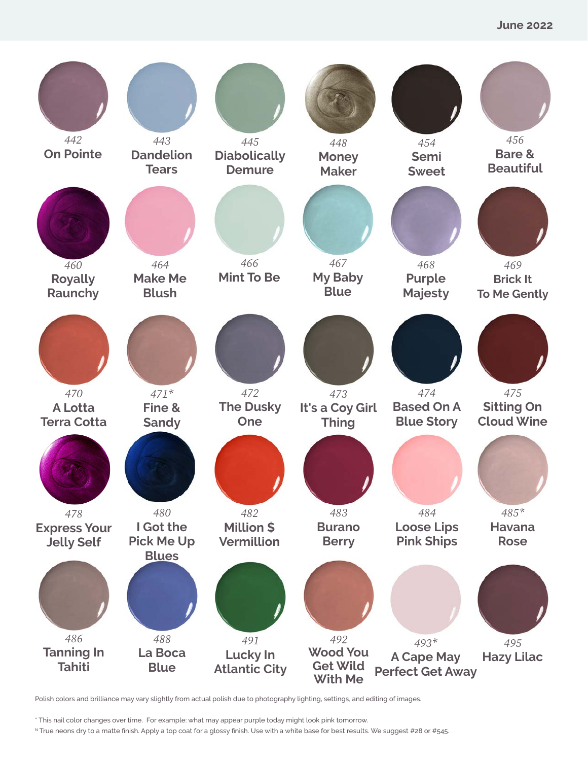

\* This nail color changes over time. For example: what may appear purple today might look pink tomorrow.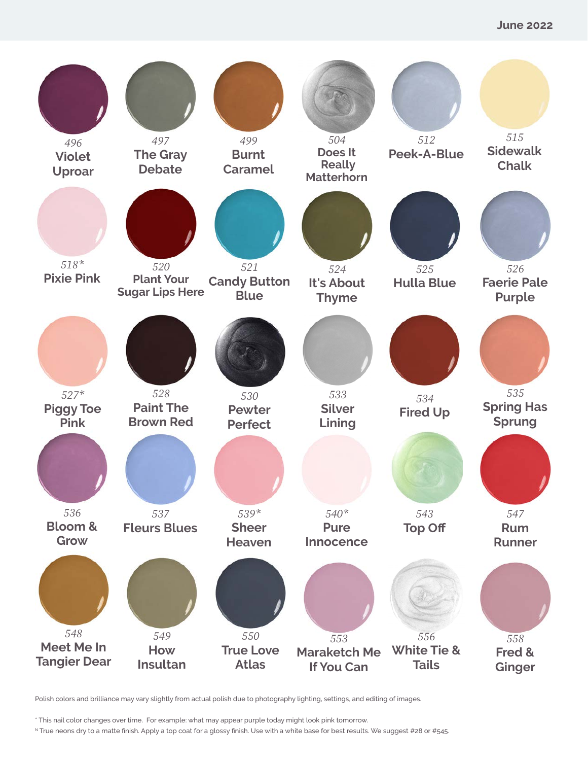

\* This nail color changes over time. For example: what may appear purple today might look pink tomorrow.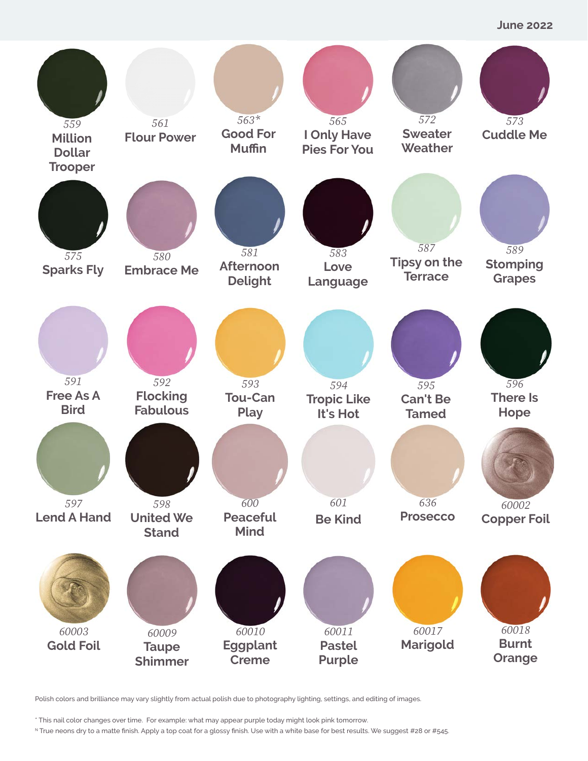**June 2022**



Polish colors and brilliance may vary slightly from actual polish due to photography lighting, settings, and editing of images.

\* This nail color changes over time. For example: what may appear purple today might look pink tomorrow.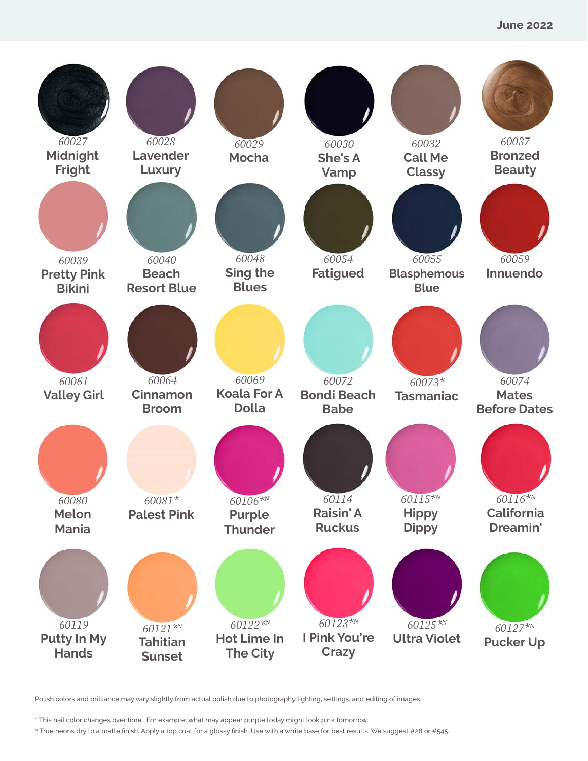

\* This nail color changes over time. For example: what may appear purple today might look pink tomorrow.